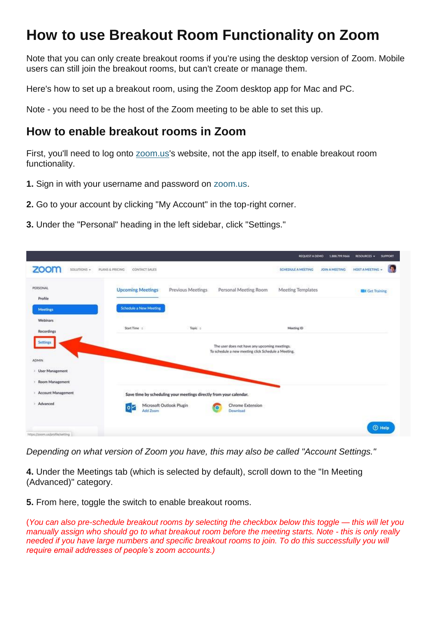## **How to use Breakout Room Functionality on Zoom**

Note that you can only create breakout rooms if you're using the desktop version of Zoom. Mobile users can still join the breakout rooms, but can't create or manage them.

Here's how to set up a breakout room, using the Zoom desktop app for Mac and PC.

Note - you need to be the host of the Zoom meeting to be able to set this up.

## **How to enable breakout rooms in Zoom**

First, you'll need to log onto [zoom.us'](http://zoom.us/)s website, not the app itself, to enable breakout room functionality.

- **1.** Sign in with your username and password on [zoom.us.](http://zoom.us/)
- **2.** Go to your account by clicking "My Account" in the top-right corner.
- **3.** Under the "Personal" heading in the left sidebar, click "Settings."



*Depending on what version of Zoom you have, this may also be called "Account Settings."*

**4.** Under the Meetings tab (which is selected by default), scroll down to the "In Meeting (Advanced)" category.

**5.** From here, toggle the switch to enable breakout rooms.

(*You can also pre-schedule breakout rooms by selecting the checkbox below this toggle — this will let you manually assign who should go to what breakout room before the meeting starts. Note - this is only really needed if you have large numbers and specific breakout rooms to join. To do this successfully you will require email addresses of people's zoom accounts.)*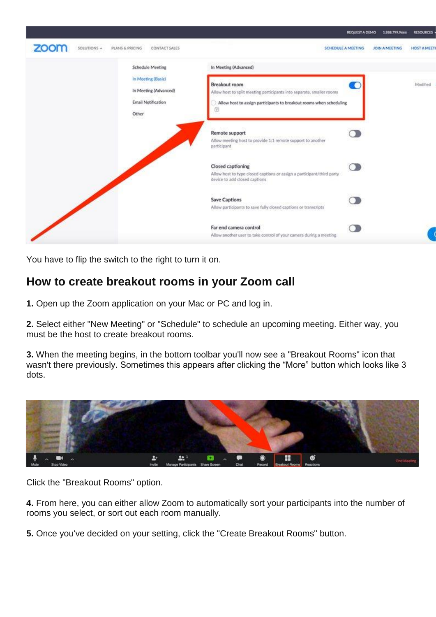

You have to flip the switch to the right to turn it on.

## **How to create breakout rooms in your Zoom call**

**1.** Open up the Zoom application on your Mac or PC and log in.

**2.** Select either "New Meeting" or "Schedule" to schedule an upcoming meeting. Either way, you must be the host to create breakout rooms.

**3.** When the meeting begins, in the bottom toolbar you'll now see a "Breakout Rooms" icon that wasn't there previously. Sometimes this appears after clicking the "More" button which looks like 3 dots.



Click the "Breakout Rooms" option.

**4.** From here, you can either allow Zoom to automatically sort your participants into the number of rooms you select, or sort out each room manually.

**5.** Once you've decided on your setting, click the "Create Breakout Rooms" button.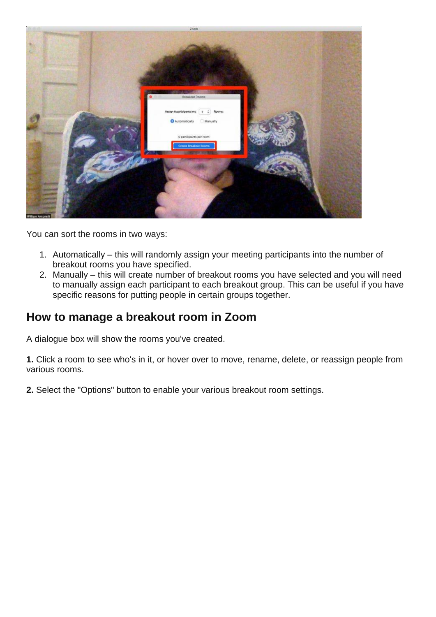

You can sort the rooms in two ways:

- 1. Automatically this will randomly assign your meeting participants into the number of breakout rooms you have specified.
- 2. Manually this will create number of breakout rooms you have selected and you will need to manually assign each participant to each breakout group. This can be useful if you have specific reasons for putting people in certain groups together.

## **How to manage a breakout room in Zoom**

A dialogue box will show the rooms you've created.

**1.** Click a room to see who's in it, or hover over to move, rename, delete, or reassign people from various rooms.

**2.** Select the "Options" button to enable your various breakout room settings.